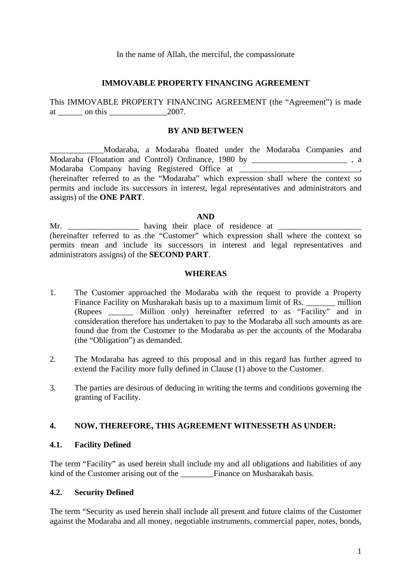In the name of Allah, the merciful, the compassionate

### **IMMOVABLE PROPERTY FINANCING AGREEMENT**

This IMMOVABLE PROPERTY FINANCING AGREEMENT (the "Agreement") is made at on this 2007.

### **BY AND BETWEEN**

\_\_\_\_\_\_\_\_\_\_\_\_\_Modaraba, a Modaraba floated under the Modaraba Companies and Modaraba (Floatation and Control) Ordinance, 1980 by \_\_\_\_\_\_\_\_\_\_\_\_\_\_\_\_\_\_\_\_\_\_\_\_\_\_, a Modaraba Company having Registered Office at \_\_\_\_\_\_\_\_\_\_\_\_\_\_\_\_\_\_\_\_\_\_\_\_\_\_\_\_\_, (hereinafter referred to as the "Modaraba" which expression shall where the context so permits and include its successors in interest, legal representatives and administrators and assigns) of the **ONE PART**.

### **AND**

Mr.  $\frac{1}{\sqrt{2\pi}}$  having their place of residence at (hereinafter referred to as the "Customer" which expression shall where the context so permits mean and include its successors in interest and legal representatives and administrators assigns) of the **SECOND PART**.

### **WHEREAS**

- 1. The Customer approached the Modaraba with the request to provide a Property Finance Facility on Musharakah basis up to a maximum limit of Rs. \_\_\_\_\_\_\_\_ million (Rupees \_\_\_\_\_\_ Million only) hereinafter referred to as "Facility" and in consideration therefore has undertaken to pay to the Modaraba all such amounts as are found due from the Customer to the Modaraba as per the accounts of the Modaraba (the "Obligation") as demanded.
- 2. The Modaraba has agreed to this proposal and in this regard has further agreed to extend the Facility more fully defined in Clause (1) above to the Customer.
- 3. The parties are desirous of deducing in writing the terms and conditions governing the granting of Facility.

### **4. NOW, THEREFORE, THIS AGREEMENT WITNESSETH AS UNDER:**

### **4.1. Facility Defined**

The term "Facility" as used herein shall include my and all obligations and liabilities of any kind of the Customer arising out of the Finance on Musharakah basis.

## **4.2. Security Defined**

The term "Security as used herein shall include all present and future claims of the Customer against the Modaraba and all money, negotiable instruments, commercial paper, notes, bonds,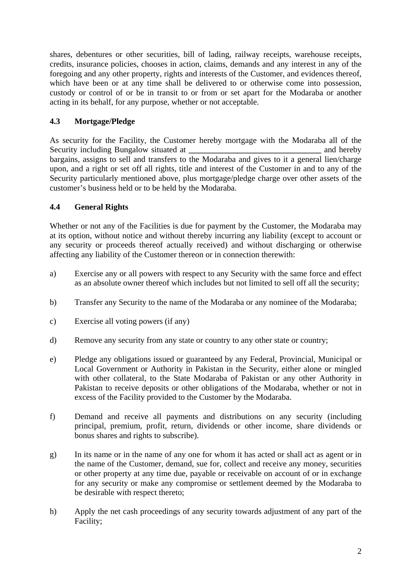shares, debentures or other securities, bill of lading, railway receipts, warehouse receipts, credits, insurance policies, chooses in action, claims, demands and any interest in any of the foregoing and any other property, rights and interests of the Customer, and evidences thereof, which have been or at any time shall be delivered to or otherwise come into possession, custody or control of or be in transit to or from or set apart for the Modaraba or another acting in its behalf, for any purpose, whether or not acceptable.

# **4.3 Mortgage/Pledge**

As security for the Facility, the Customer hereby mortgage with the Modaraba all of the Security including Bungalow situated at **the analysis of the security including Bungalow situated at** bargains, assigns to sell and transfers to the Modaraba and gives to it a general lien/charge upon, and a right or set off all rights, title and interest of the Customer in and to any of the Security particularly mentioned above, plus mortgage/pledge charge over other assets of the customer's business held or to be held by the Modaraba.

# **4.4 General Rights**

Whether or not any of the Facilities is due for payment by the Customer, the Modaraba may at its option, without notice and without thereby incurring any liability (except to account or any security or proceeds thereof actually received) and without discharging or otherwise affecting any liability of the Customer thereon or in connection therewith:

- a) Exercise any or all powers with respect to any Security with the same force and effect as an absolute owner thereof which includes but not limited to sell off all the security;
- b) Transfer any Security to the name of the Modaraba or any nominee of the Modaraba;
- c) Exercise all voting powers (if any)
- d) Remove any security from any state or country to any other state or country;
- e) Pledge any obligations issued or guaranteed by any Federal, Provincial, Municipal or Local Government or Authority in Pakistan in the Security, either alone or mingled with other collateral, to the State Modaraba of Pakistan or any other Authority in Pakistan to receive deposits or other obligations of the Modaraba, whether or not in excess of the Facility provided to the Customer by the Modaraba.
- f) Demand and receive all payments and distributions on any security (including principal, premium, profit, return, dividends or other income, share dividends or bonus shares and rights to subscribe).
- g) In its name or in the name of any one for whom it has acted or shall act as agent or in the name of the Customer, demand, sue for, collect and receive any money, securities or other property at any time due, payable or receivable on account of or in exchange for any security or make any compromise or settlement deemed by the Modaraba to be desirable with respect thereto;
- h) Apply the net cash proceedings of any security towards adjustment of any part of the Facility;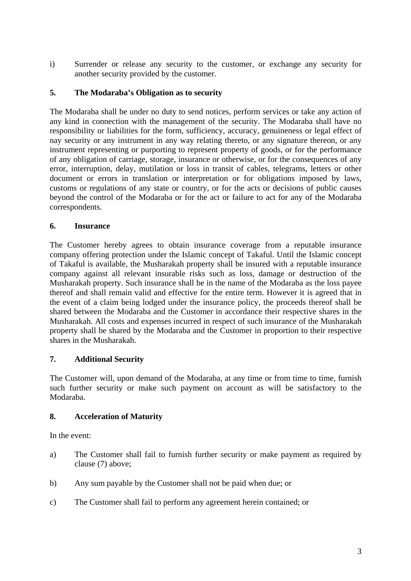i) Surrender or release any security to the customer, or exchange any security for another security provided by the customer.

# **5. The Modaraba's Obligation as to security**

The Modaraba shall be under no duty to send notices, perform services or take any action of any kind in connection with the management of the security. The Modaraba shall have no responsibility or liabilities for the form, sufficiency, accuracy, genuineness or legal effect of nay security or any instrument in any way relating thereto, or any signature thereon, or any instrument representing or purporting to represent property of goods, or for the performance of any obligation of carriage, storage, insurance or otherwise, or for the consequences of any error, interruption, delay, mutilation or loss in transit of cables, telegrams, letters or other document or errors in translation or interpretation or for obligations imposed by laws, customs or regulations of any state or country, or for the acts or decisions of public causes beyond the control of the Modaraba or for the act or failure to act for any of the Modaraba correspondents.

## **6. Insurance**

The Customer hereby agrees to obtain insurance coverage from a reputable insurance company offering protection under the Islamic concept of Takaful. Until the Islamic concept of Takaful is available, the Musharakah property shall be insured with a reputable insurance company against all relevant insurable risks such as loss, damage or destruction of the Musharakah property. Such insurance shall be in the name of the Modaraba as the loss payee thereof and shall remain valid and effective for the entire term. However it is agreed that in the event of a claim being lodged under the insurance policy, the proceeds thereof shall be shared between the Modaraba and the Customer in accordance their respective shares in the Musharakah. All costs and expenses incurred in respect of such insurance of the Musharakah property shall be shared by the Modaraba and the Customer in proportion to their respective shares in the Musharakah.

## **7. Additional Security**

The Customer will, upon demand of the Modaraba, at any time or from time to time, furnish such further security or make such payment on account as will be satisfactory to the Modaraba.

## **8. Acceleration of Maturity**

In the event:

- a) The Customer shall fail to furnish further security or make payment as required by clause (7) above;
- b) Any sum payable by the Customer shall not be paid when due; or
- c) The Customer shall fail to perform any agreement herein contained; or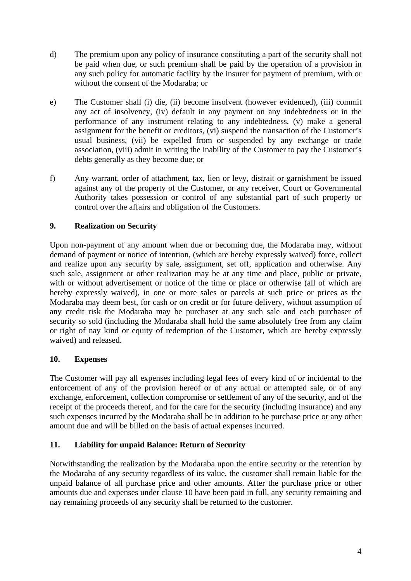- d) The premium upon any policy of insurance constituting a part of the security shall not be paid when due, or such premium shall be paid by the operation of a provision in any such policy for automatic facility by the insurer for payment of premium, with or without the consent of the Modaraba; or
- e) The Customer shall (i) die, (ii) become insolvent (however evidenced), (iii) commit any act of insolvency, (iv) default in any payment on any indebtedness or in the performance of any instrument relating to any indebtedness, (v) make a general assignment for the benefit or creditors, (vi) suspend the transaction of the Customer's usual business, (vii) be expelled from or suspended by any exchange or trade association, (viii) admit in writing the inability of the Customer to pay the Customer's debts generally as they become due; or
- f) Any warrant, order of attachment, tax, lien or levy, distrait or garnishment be issued against any of the property of the Customer, or any receiver, Court or Governmental Authority takes possession or control of any substantial part of such property or control over the affairs and obligation of the Customers.

# **9. Realization on Security**

Upon non-payment of any amount when due or becoming due, the Modaraba may, without demand of payment or notice of intention, (which are hereby expressly waived) force, collect and realize upon any security by sale, assignment, set off, application and otherwise. Any such sale, assignment or other realization may be at any time and place, public or private, with or without advertisement or notice of the time or place or otherwise (all of which are hereby expressly waived), in one or more sales or parcels at such price or prices as the Modaraba may deem best, for cash or on credit or for future delivery, without assumption of any credit risk the Modaraba may be purchaser at any such sale and each purchaser of security so sold (including the Modaraba shall hold the same absolutely free from any claim or right of nay kind or equity of redemption of the Customer, which are hereby expressly waived) and released.

## **10. Expenses**

The Customer will pay all expenses including legal fees of every kind of or incidental to the enforcement of any of the provision hereof or of any actual or attempted sale, or of any exchange, enforcement, collection compromise or settlement of any of the security, and of the receipt of the proceeds thereof, and for the care for the security (including insurance) and any such expenses incurred by the Modaraba shall be in addition to he purchase price or any other amount due and will be billed on the basis of actual expenses incurred.

# **11. Liability for unpaid Balance: Return of Security**

Notwithstanding the realization by the Modaraba upon the entire security or the retention by the Modaraba of any security regardless of its value, the customer shall remain liable for the unpaid balance of all purchase price and other amounts. After the purchase price or other amounts due and expenses under clause 10 have been paid in full, any security remaining and nay remaining proceeds of any security shall be returned to the customer.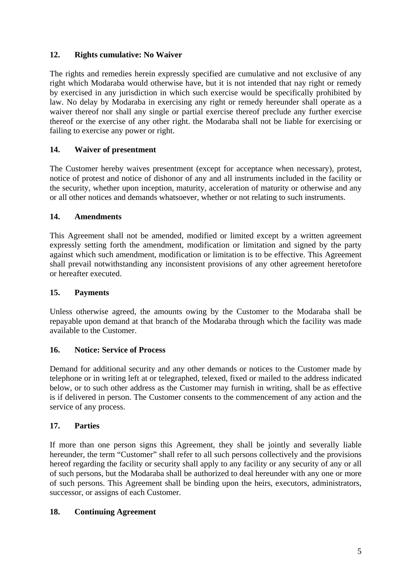# **12. Rights cumulative: No Waiver**

The rights and remedies herein expressly specified are cumulative and not exclusive of any right which Modaraba would otherwise have, but it is not intended that nay right or remedy by exercised in any jurisdiction in which such exercise would be specifically prohibited by law. No delay by Modaraba in exercising any right or remedy hereunder shall operate as a waiver thereof nor shall any single or partial exercise thereof preclude any further exercise thereof or the exercise of any other right. the Modaraba shall not be liable for exercising or failing to exercise any power or right.

# **14. Waiver of presentment**

The Customer hereby waives presentment (except for acceptance when necessary), protest, notice of protest and notice of dishonor of any and all instruments included in the facility or the security, whether upon inception, maturity, acceleration of maturity or otherwise and any or all other notices and demands whatsoever, whether or not relating to such instruments.

## **14. Amendments**

This Agreement shall not be amended, modified or limited except by a written agreement expressly setting forth the amendment, modification or limitation and signed by the party against which such amendment, modification or limitation is to be effective. This Agreement shall prevail notwithstanding any inconsistent provisions of any other agreement heretofore or hereafter executed.

## **15. Payments**

Unless otherwise agreed, the amounts owing by the Customer to the Modaraba shall be repayable upon demand at that branch of the Modaraba through which the facility was made available to the Customer.

## **16. Notice: Service of Process**

Demand for additional security and any other demands or notices to the Customer made by telephone or in writing left at or telegraphed, telexed, fixed or mailed to the address indicated below, or to such other address as the Customer may furnish in writing, shall be as effective is if delivered in person. The Customer consents to the commencement of any action and the service of any process.

# **17. Parties**

If more than one person signs this Agreement, they shall be jointly and severally liable hereunder, the term "Customer" shall refer to all such persons collectively and the provisions hereof regarding the facility or security shall apply to any facility or any security of any or all of such persons, but the Modaraba shall be authorized to deal hereunder with any one or more of such persons. This Agreement shall be binding upon the heirs, executors, administrators, successor, or assigns of each Customer.

## **18. Continuing Agreement**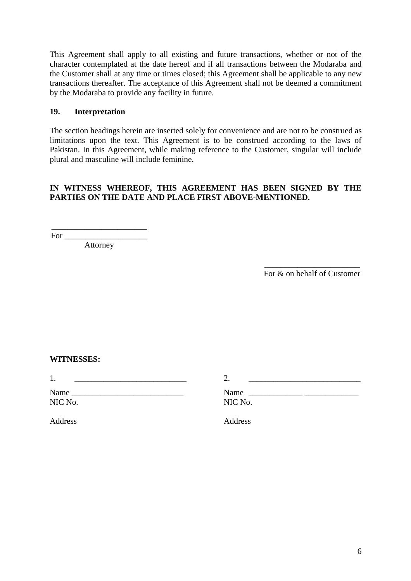This Agreement shall apply to all existing and future transactions, whether or not of the character contemplated at the date hereof and if all transactions between the Modaraba and the Customer shall at any time or times closed; this Agreement shall be applicable to any new transactions thereafter. The acceptance of this Agreement shall not be deemed a commitment by the Modaraba to provide any facility in future.

## **19. Interpretation**

The section headings herein are inserted solely for convenience and are not to be construed as limitations upon the text. This Agreement is to be construed according to the laws of Pakistan. In this Agreement, while making reference to the Customer, singular will include plural and masculine will include feminine.

## **IN WITNESS WHEREOF, THIS AGREEMENT HAS BEEN SIGNED BY THE PARTIES ON THE DATE AND PLACE FIRST ABOVE-MENTIONED.**

For  $\Box$ 

Attorney

\_\_\_\_\_\_\_\_\_\_\_\_\_\_\_\_\_\_\_\_\_\_\_

\_\_\_\_\_\_\_\_\_\_\_\_\_\_\_\_\_\_\_\_\_\_\_ For & on behalf of Customer

### **WITNESSES:**

1.  $\qquad \qquad$  2.

Name \_\_\_\_\_\_\_\_\_\_\_\_\_\_\_\_\_\_\_\_\_\_\_\_\_\_\_ Name \_\_\_\_\_\_\_\_\_\_\_\_\_ \_\_\_\_\_\_\_\_\_\_\_\_\_ NIC No. NIC No.

Address Address